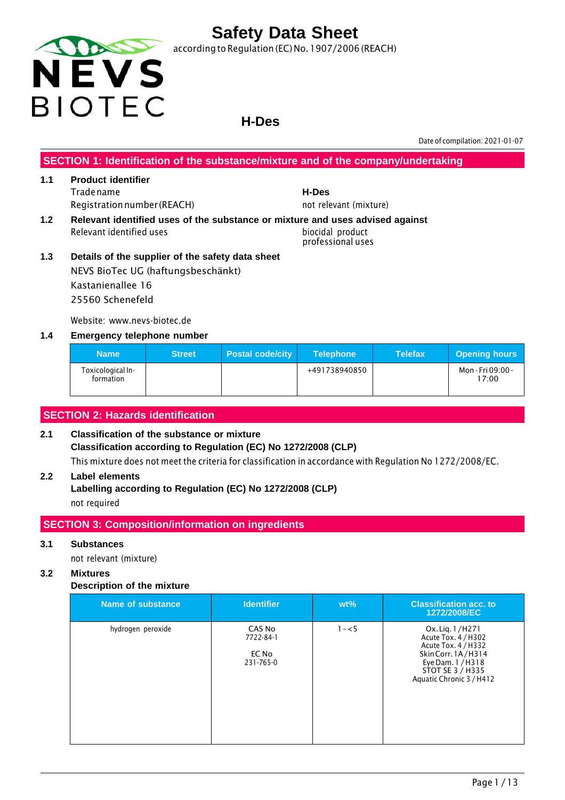

according to Regulation (EC) No. 1907/2006 (REACH)

### **H-Des**

Date of compilation: 2021-01-07

**SECTION 1: Identification of the substance/mixture and of the company/undertaking**

### **1.1 Product identifier** Tradename **H-Des** Registration number (REACH) not relevant (mixture)

- 
- **1.2 Relevant identified uses of the substance or mixture and uses advised against** Relevant identified uses biocidal product
- **1.3 Details of the supplier of the safety data sheet** NEVS BioTec UG (haftungsbeschänkt) Kastanienallee 16 25560 Schenefeld

Website: www.nevs-biotec.de

### **1.4 Emergency telephone number**

| <b>Name</b>                    | <b>Street</b> | <b>Postal code/city</b> | <b>Telephone</b> | <b>Telefax</b> | <b>Opening hours</b>       |
|--------------------------------|---------------|-------------------------|------------------|----------------|----------------------------|
| Toxicological In-<br>formation |               |                         | +491738940850    |                | Mon - Fri 09:00 -<br>17:00 |

### **SECTION 2: Hazards identification**

### **2.1 Classification of the substance or mixture Classification according to Regulation (EC) No 1272/2008 (CLP)** This mixture does not meet the criteria for classification in accordance with Regulation No 1272/2008/EC.

### **2.2 Label elements**

**Labelling according to Regulation (EC) No 1272/2008 (CLP)** not required

### **SECTION 3: Composition/information on ingredients**

### **3.1 Substances**

not relevant (mixture)

### **3.2 Mixtures**

### **Description of the mixture**

| Name of substance | <b>Identifier</b>                         | $wt\%$  | <b>Classification acc. to</b><br>1272/2008/EC                                                                                                            |
|-------------------|-------------------------------------------|---------|----------------------------------------------------------------------------------------------------------------------------------------------------------|
| hydrogen peroxide | CAS No<br>7722-84-1<br>EC No<br>231-765-0 | $1 - 5$ | Ox. Lig. 1/H271<br>Acute Tox. 4 / H302<br>Acute Tox. 4 / H332<br>Skin Corr. 1A/H314<br>Eye Dam. 1 / H318<br>STOT SE 3 / H335<br>Aquatic Chronic 3 / H412 |

professional uses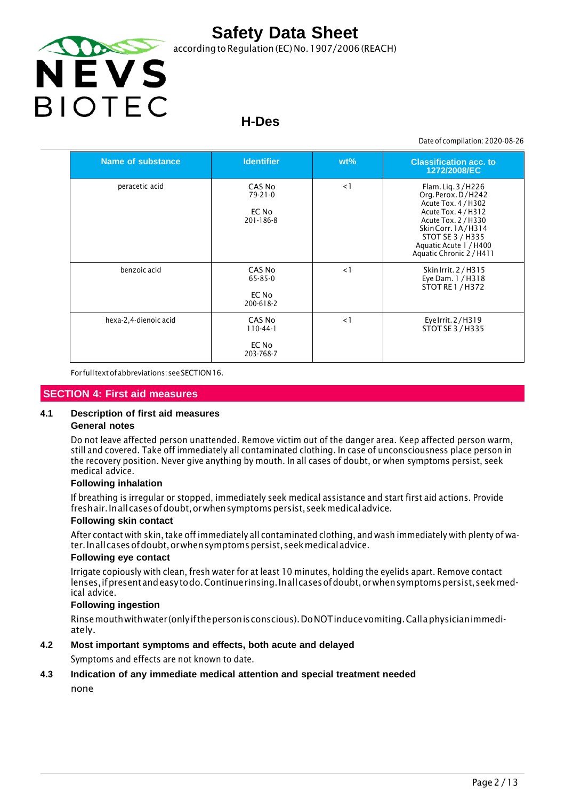

according to Regulation (EC) No. 1907/2006 (REACH)

### **H-Des**

Date of compilation: 2020-08-26

| Name of substance     | <b>Identifier</b>                             | $wt\%$   | <b>Classification acc. to</b><br>1272/2008/EC                                                                                                                                                                |
|-----------------------|-----------------------------------------------|----------|--------------------------------------------------------------------------------------------------------------------------------------------------------------------------------------------------------------|
| peracetic acid        | CAS No<br>$79 - 21 - 0$<br>EC No<br>201-186-8 | $\lt 1$  | Flam. Lig. 3/H226<br>Org. Perox. D/H242<br>Acute Tox. 4 / H302<br>Acute Tox. 4 / H312<br>Acute Tox. 2 / H330<br>Skin Corr. 1A/H314<br>STOT SE 3 / H335<br>Aquatic Acute 1 / H400<br>Aquatic Chronic 2 / H411 |
| benzoic acid          | CAS No<br>65-85-0<br>EC No<br>200-618-2       | $\leq$ 1 | Skin Irrit. 2 / H315<br>Eye Dam. 1 / H318<br><b>STOT RE 1 / H372</b>                                                                                                                                         |
| hexa-2,4-dienoic acid | CAS No<br>$110-44-1$<br>EC No<br>203-768-7    | $\leq$ 1 | Eye Irrit. 2/H319<br>STOT SE 3 / H335                                                                                                                                                                        |

For fulltextofabbreviations: seeSECTION16.

### **SECTION 4: First aid measures**

### **4.1 Description of first aid measures**

### **General notes**

Do not leave affected person unattended. Remove victim out of the danger area. Keep affected person warm, still and covered. Take off immediately all contaminated clothing. In case of unconsciousness place person in the recovery position. Never give anything by mouth. In all cases of doubt, or when symptoms persist, seek medical advice.

### **Following inhalation**

If breathing is irregular or stopped, immediately seek medical assistance and start first aid actions. Provide freshair. Inall cases of doubt, or when symptoms persist, seek medical advice.

### **Following skin contact**

After contact with skin, take off immediately all contaminated clothing, and wash immediately with plenty of water.Inallcasesofdoubt,orwhensymptomspersist,seekmedicaladvice.

### **Following eye contact**

Irrigate copiously with clean, fresh water for at least 10 minutes, holding the eyelids apart. Remove contact lenses, if present and easy to do. Continue rinsing. In all cases of doubt, or when symptoms persist, seek medical advice.

### **Following ingestion**

Rinsemouthwithwater (onlyifthepersonisconscious).DoNOTinducevomiting.Callaphysicianimmediately.

### **4.2 Most important symptoms and effects, both acute and delayed**

Symptoms and effects are not known to date.

### **4.3 Indication of any immediate medical attention and special treatment needed**

none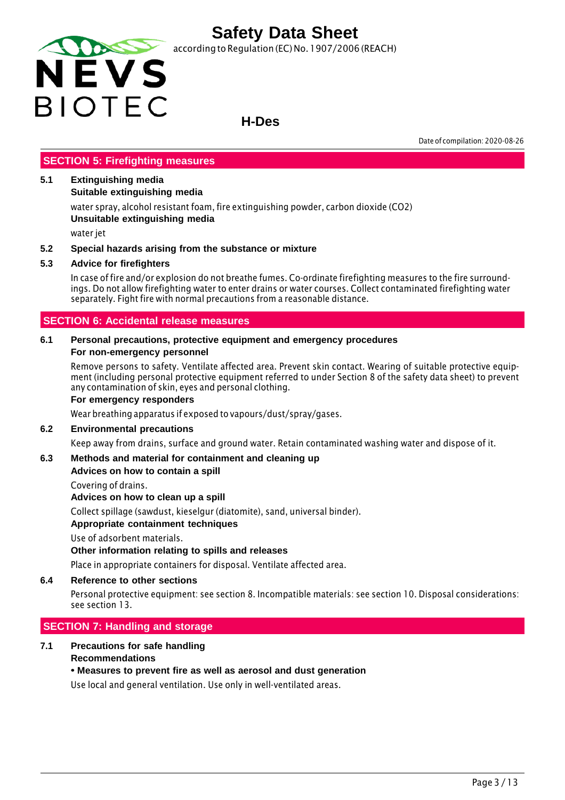

according to Regulation (EC) No. 1907/2006 (REACH)

### **H-Des**

Date of compilation: 2020-08-26

### **SECTION 5: Firefighting measures**

### **5.1 Extinguishing media**

**Suitable extinguishing media**

water spray, alcohol resistant foam, fire extinguishing powder, carbon dioxide (CO2) **Unsuitable extinguishing media**

water jet

### **5.2 Special hazards arising from the substance or mixture**

### **5.3 Advice for firefighters**

In case of fire and/or explosion do not breathe fumes. Co-ordinate firefighting measures to the fire surroundings. Do not allow firefighting water to enter drains or water courses. Collect contaminated firefighting water separately. Fight fire with normal precautions from a reasonable distance.

### **SECTION 6: Accidental release measures**

### **6.1 Personal precautions, protective equipment and emergency procedures For non-emergency personnel**

Remove persons to safety. Ventilate affected area. Prevent skin contact. Wearing of suitable protective equipment (including personal protective equipment referred to under Section 8 of the safety data sheet) to prevent any contamination of skin, eyes and personal clothing.

### **For emergency responders**

Wear breathing apparatus if exposed to vapours/dust/spray/gases.

### **6.2 Environmental precautions**

Keep away from drains, surface and ground water. Retain contaminated washing water and dispose of it.

### **6.3 Methods and material for containment and cleaning up**

### **Advices on how to contain a spill**

Covering of drains.

**Advices on how to clean up a spill**

Collect spillage (sawdust, kieselgur (diatomite), sand, universal binder).

### **Appropriate containment techniques**

Use of adsorbent materials.

### **Other information relating to spills and releases**

Place in appropriate containers for disposal. Ventilate affected area.

### **6.4 Reference to other sections**

Personal protective equipment: see section 8. Incompatible materials: see section 10. Disposal considerations: see section 13.

### **SECTION 7: Handling and storage**

#### **7.1 Precautions for safe handling Recommendations**

### **• Measures to prevent fire as well as aerosol and dust generation**

Use local and general ventilation. Use only in well-ventilated areas.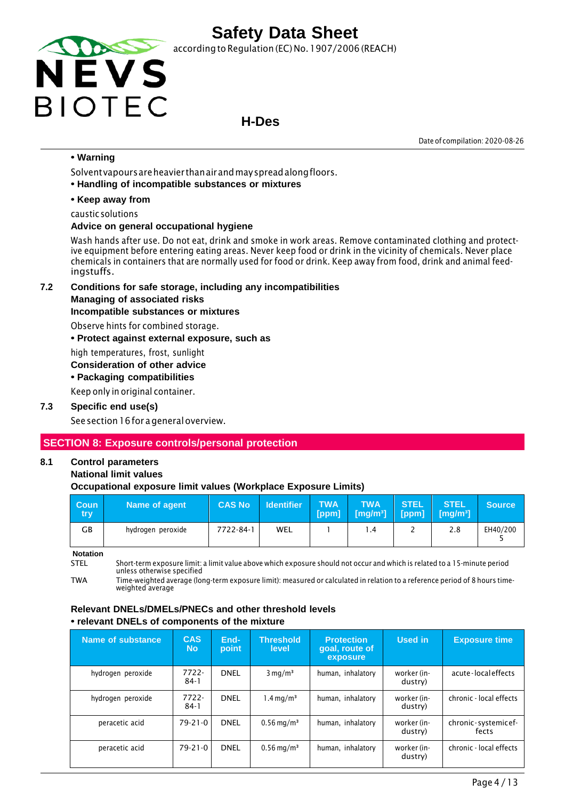

according to Regulation (EC) No. 1907/2006 (REACH)

### **H-Des**

**• Warning**

Solventvapoursareheavier thanairandmayspreadalongfloors.

**• Handling of incompatible substances or mixtures**

### **• Keep away from**

caustic solutions

#### **Advice on general occupational hygiene**

Wash hands after use. Do not eat, drink and smoke in work areas. Remove contaminated clothing and protective equipment before entering eating areas. Never keep food or drink in the vicinity of chemicals. Never place chemicals in containers that are normally used for food or drink. Keep away from food, drink and animal feedingstuffs.

**7.2 Conditions for safe storage, including any incompatibilities**

#### **Managing of associated risks**

#### **Incompatible substances or mixtures**

Observe hints for combined storage.

**• Protect against external exposure, such as**

high temperatures, frost, sunlight

### **Consideration of other advice**

**• Packaging compatibilities**

Keep only in original container.

### **7.3 Specific end use(s)**

See section 16 for a general overview.

### **SECTION 8: Exposure controls/personal protection**

### **8.1 Control parameters**

### **National limit values**

### **Occupational exposure limit values (Workplace Exposure Limits)**

| <b>Coun</b><br>try | Name of agent     | <b>CAS No</b> | <b>Identifier</b> | <b>TWA</b> | <b>TWA</b><br>$[ppm]$ $[mg/m^3]$ | <b>STEL</b><br>[ppm] | <b>STEL</b><br>[mg/m <sup>3</sup> ] | <b>Source</b> |
|--------------------|-------------------|---------------|-------------------|------------|----------------------------------|----------------------|-------------------------------------|---------------|
| GВ                 | hydrogen peroxide | 7722-84-1     | <b>WEL</b>        |            | 4. ا                             |                      | 2.8                                 | EH40/200      |

**Notation**

STEL Short-term exposure limit: a limit value above which exposure should not occur and which is related to a 15-minute period unless otherwise specified

TWA Time-weighted average (long-term exposure limit): measured or calculated in relation to a reference period of 8 hours timeweighted average

#### **Relevant DNELs/DMELs/PNECs and other threshold levels • relevant DNELs of components of the mixture**

| Name of substance | <b>CAS</b><br><b>No</b> | End-<br>point | <b>Threshold</b><br>level | <b>Protection</b><br>goal, route of<br>exposure | Used in                | <b>Exposure time</b>         |
|-------------------|-------------------------|---------------|---------------------------|-------------------------------------------------|------------------------|------------------------------|
| hydrogen peroxide | $7722 -$<br>$84-1$      | <b>DNEL</b>   | $3 \text{ mg/m}^3$        | human, inhalatory                               | worker (in-<br>dustry) | acute-localeffects           |
| hydrogen peroxide | 7722-<br>$84-1$         | <b>DNEL</b>   | $1.4 \,\mathrm{mq/m^3}$   | human, inhalatory                               | worker (in-<br>dustry) | chronic - local effects      |
| peracetic acid    | $79 - 21 - 0$           | <b>DNEL</b>   | $0.56 \,\mathrm{mg/m^3}$  | human, inhalatory                               | worker (in-<br>dustry) | chronic-systemicef-<br>fects |
| peracetic acid    | $79 - 21 - 0$           | <b>DNEL</b>   | $0.56 \,\mathrm{mg/m^3}$  | human, inhalatory                               | worker (in-<br>dustry) | chronic - local effects      |

Date of compilation: 2020-08-26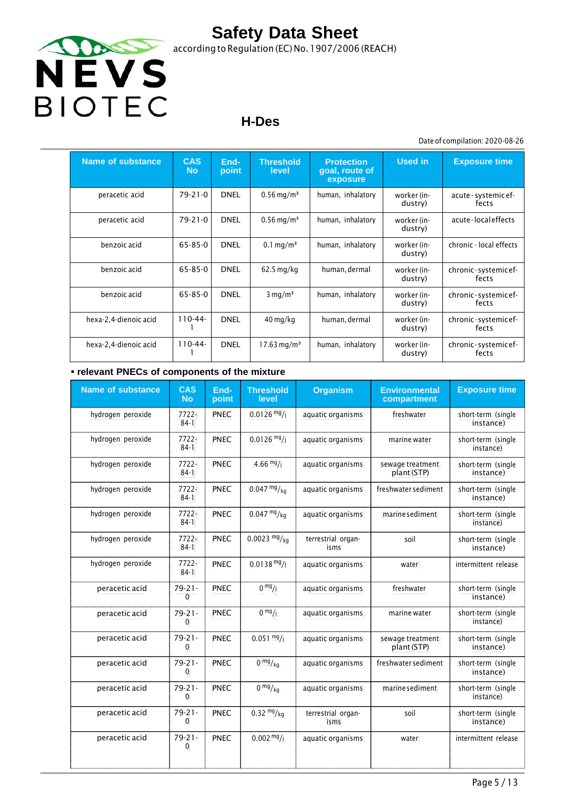

according to Regulation (EC) No.1907/2006 (REACH)

## **H-Des**

Date of compilation: 2020-08-26

| <b>Name of substance</b> | <b>CAS</b><br><b>No</b> | End-<br>point | <b>Threshold</b><br>level | <b>Protection</b><br>goal, route of<br>exposure | <b>Used in</b>         | <b>Exposure time</b>          |
|--------------------------|-------------------------|---------------|---------------------------|-------------------------------------------------|------------------------|-------------------------------|
| peracetic acid           | $79-21-0$               | <b>DNEL</b>   | $0.56 \,\mathrm{mg/m^3}$  | human, inhalatory                               | worker (in-<br>dustry) | acute - systemic ef-<br>fects |
| peracetic acid           | $79 - 21 - 0$           | <b>DNEL</b>   | $0.56 \,\mathrm{mg/m^3}$  | human, inhalatory                               | worker (in-<br>dustry) | acute-localeffects            |
| benzoic acid             | 65-85-0                 | <b>DNEL</b>   | $0.1 \,\mathrm{mq/m^3}$   | human, inhalatory                               | worker (in-<br>dustry) | chronic - local effects       |
| benzoic acid             | 65-85-0                 | <b>DNEL</b>   | $62.5$ mg/kg              | human, dermal                                   | worker (in-<br>dustry) | chronic-systemicef-<br>fects  |
| benzoic acid             | 65-85-0                 | <b>DNEL</b>   | $3 \,\mathrm{mg/m^3}$     | human, inhalatory                               | worker (in-<br>dustry) | chronic-systemicef-<br>fects  |
| hexa-2,4-dienoic acid    | $110-44-$               | <b>DNEL</b>   | $40 \,\mathrm{mg/kg}$     | human, dermal                                   | worker (in-<br>dustry) | chronic-systemicef-<br>fects  |
| hexa-2,4-dienoic acid    | $110-44-$               | <b>DNEL</b>   | $17.63 \,\mathrm{mg/m^3}$ | human, inhalatory                               | worker (in-<br>dustry) | chronic-systemicef-<br>fects  |

### **• relevant PNECs of components of the mixture**

| <b>Name of substance</b> | <b>CAS</b><br><b>No</b> | End-<br>point | <b>Threshold</b><br>level  | <b>Organism</b>            | <b>Environmental</b><br>compartment | <b>Exposure time</b>            |
|--------------------------|-------------------------|---------------|----------------------------|----------------------------|-------------------------------------|---------------------------------|
| hydrogen peroxide        | 7722-<br>$84-1$         | PNEC          | $0.0126 \frac{mg}{l}$      | aquatic organisms          | freshwater                          | short-term (single<br>instance) |
| hydrogen peroxide        | 7722-<br>$84-1$         | PNEC          | $0.0126$ mg/               | aquatic organisms          | marine water                        | short-term (single<br>instance) |
| hydrogen peroxide        | $7722 -$<br>$84-1$      | PNEC          | 4.66 $mg/1$                | aquatic organisms          | sewage treatment<br>plant (STP)     | short-term (single<br>instance) |
| hydrogen peroxide        | $7722 -$<br>$84-1$      | <b>PNEC</b>   | $0.047 \frac{mg}{kg}$      | aquatic organisms          | freshwater sediment                 | short-term (single<br>instance) |
| hydrogen peroxide        | 7722-<br>$84-1$         | PNEC          | $0.047 \frac{mg}{kg}$      | aquatic organisms          | marine sediment                     | short-term (single<br>instance) |
| hydrogen peroxide        | 7722-<br>$84-1$         | <b>PNEC</b>   | $0.0023$ mg/ <sub>kg</sub> | terrestrial organ-<br>isms | soil                                | short-term (single<br>instance) |
| hydrogen peroxide        | 7722-<br>$84-1$         | PNEC          | $0.0138 \text{ mg}$ /      | aquatic organisms          | water                               | intermittent release            |
| peracetic acid           | $79 - 21 -$<br>0        | PNEC          | 0 <sup>mg</sup> /1         | aquatic organisms          | freshwater                          | short-term (single<br>instance) |
| peracetic acid           | $79 - 21 -$<br>0        | <b>PNEC</b>   | $0 \frac{mg}{l}$           | aquatic organisms          | marine water                        | short-term (single<br>instance) |
| peracetic acid           | $79 - 21 -$<br>0        | <b>PNEC</b>   | $0.051 \frac{mg}{l}$       | aquatic organisms          | sewage treatment<br>plant (STP)     | short-term (single<br>instance) |
| peracetic acid           | $79 - 21 -$<br>0        | <b>PNEC</b>   | 0 <sup>mg</sup> /kq        | aquatic organisms          | freshwater sediment                 | short-term (single<br>instance) |
| peracetic acid           | $79 - 21 -$<br>0        | PNEC          | $0 \frac{mg}{kg}$          | aquatic organisms          | marine sediment                     | short-term (single<br>instance) |
| peracetic acid           | $79 - 21 -$<br>0        | <b>PNEC</b>   | $0.32 \frac{mg}{kg}$       | terrestrial organ-<br>isms | soil                                | short-term (single<br>instance) |
| peracetic acid           | $79 - 21 -$<br>0        | PNEC          | $0.002 \frac{mg}{l}$       | aquatic organisms          | water                               | intermittent release            |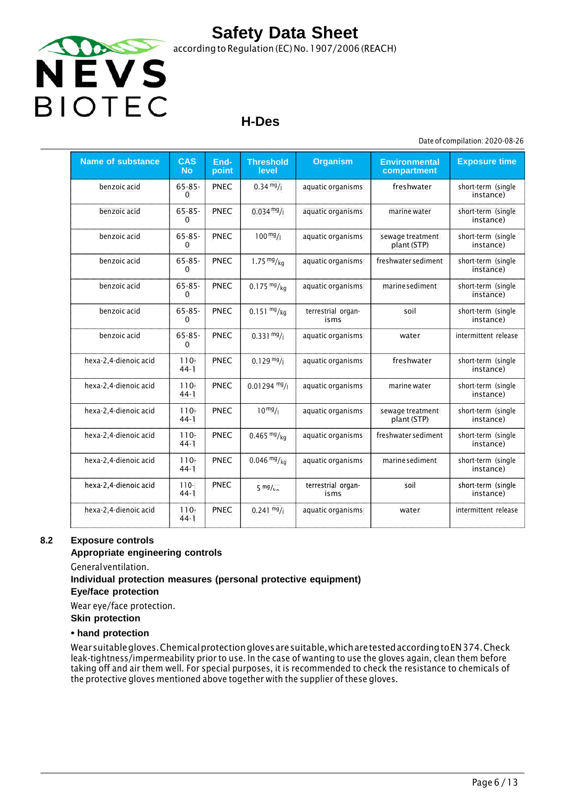

### **H-Des**

Date of compilation: 2020-08-26

| <b>Name of substance</b> | <b>CAS</b><br><b>No</b> | End-<br>point | <b>Threshold</b><br>level | <b>Organism</b>            | <b>Environmental</b><br>compartment | <b>Exposure time</b>            |
|--------------------------|-------------------------|---------------|---------------------------|----------------------------|-------------------------------------|---------------------------------|
| benzoic acid             | $65 - 85 -$<br>$\Omega$ | <b>PNEC</b>   | $0.34 \frac{mg}{l}$       | aquatic organisms          | freshwater                          | short-term (single<br>instance) |
| benzoic acid             | $65 - 85 -$<br>$\Omega$ | <b>PNEC</b>   | $0.034 \frac{mg}{l}$      | aquatic organisms          | marine water                        | short-term (single<br>instance) |
| benzoic acid             | $65 - 85 -$<br>$\Omega$ | <b>PNEC</b>   | $100 \frac{mg}{l}$        | aquatic organisms          | sewage treatment<br>plant (STP)     | short-term (single<br>instance) |
| benzoic acid             | $65 - 85 -$<br>$\Omega$ | <b>PNEC</b>   | 1.75 $mg/kg$              | aquatic organisms          | freshwater sediment                 | short-term (single<br>instance) |
| benzoic acid             | $65 - 85 -$<br>0        | <b>PNEC</b>   | $0.175 \frac{mg}{kg}$     | aquatic organisms          | marine sediment                     | short-term (single<br>instance) |
| benzoic acid             | $65 - 85 -$<br>$\Omega$ | <b>PNEC</b>   | $0.151 \frac{mg}{kg}$     | terrestrial organ-<br>isms | soil                                | short-term (single<br>instance) |
| benzoic acid             | $65 - 85 -$<br>$\Omega$ | <b>PNEC</b>   | $0.331 \frac{mg}{l}$      | aquatic organisms          | water                               | intermittent release            |
| hexa-2,4-dienoic acid    | $110 -$<br>$44-1$       | <b>PNEC</b>   | $0.129 \frac{mg}{l}$      | aquatic organisms          | freshwater                          | short-term (single<br>instance) |
| hexa-2,4-dienoic acid    | $110 -$<br>$44-1$       | <b>PNEC</b>   | $0.01294$ mg/             | aquatic organisms          | marine water                        | short-term (single<br>instance) |
| hexa-2,4-dienoic acid    | $110 -$<br>$44-1$       | <b>PNEC</b>   | $10^{mg}/1$               | aquatic organisms          | sewage treatment<br>plant (STP)     | short-term (single<br>instance) |
| hexa-2,4-dienoic acid    | $110 -$<br>$44-1$       | <b>PNEC</b>   | $0.465 \frac{mg}{kg}$     | aquatic organisms          | freshwater sediment                 | short-term (single<br>instance) |
| hexa-2,4-dienoic acid    | $110 -$<br>$44-1$       | <b>PNEC</b>   | $0.046 \frac{mg}{kg}$     | aquatic organisms          | marine sediment                     | short-term (single<br>instance) |
| hexa 2,4 dienoic acid    | $110 -$<br>$44-1$       | <b>PNEC</b>   | $5 \frac{mg}{ka}$         | terrestrial organ-<br>isms | soil                                | short term (single<br>instance) |
| hexa-2,4-dienoic acid    | $110 -$<br>$44-1$       | <b>PNEC</b>   | $0.241 \frac{mg}{l}$      | aquatic organisms          | water                               | intermittent release            |

### **8.2 Exposure controls**

#### **Appropriate engineering controls**

Generalventilation.

### **Individual protection measures (personal protective equipment)**

**Eye/face protection**

Wear eye/face protection.

**Skin protection**

### **• hand protection**

Wearsuitablegloves.Chemicalprotectionglovesaresuitable,whicharetestedaccordingtoEN374.Check leak-tightness/impermeability prior to use. In the case of wanting to use the gloves again, clean them before taking off and air them well. For special purposes, it is recommended to check the resistance to chemicals of the protective gloves mentioned above together with the supplier of these gloves.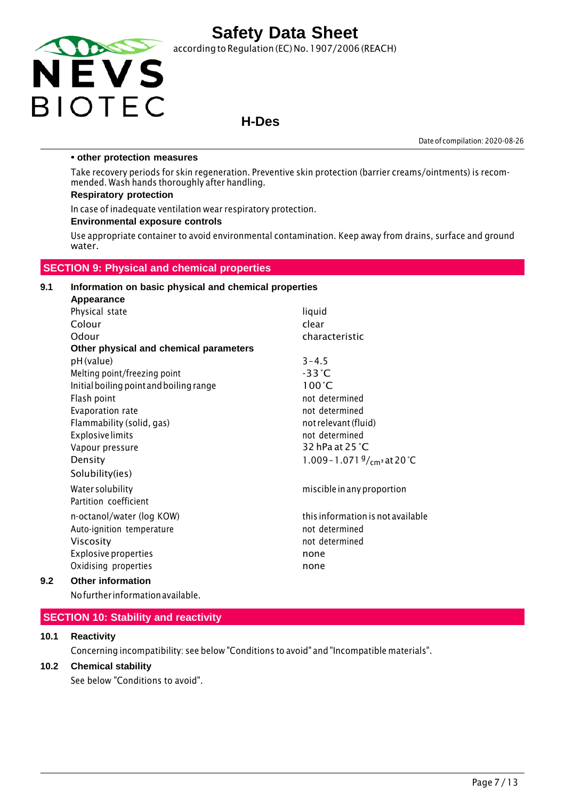

according to Regulation (EC) No.1907/2006 (REACH)

### **H-Des**

Date of compilation: 2020-08-26

### **• other protection measures**

Take recovery periods for skin regeneration. Preventive skin protection (barrier creams/ointments) is recommended. Wash hands thoroughly after handling.

#### **Respiratory protection**

In case of inadequate ventilation wear respiratory protection.

### **Environmental exposure controls**

Use appropriate container to avoid environmental contamination. Keep away from drains, surface and ground water.

### **SECTION 9: Physical and chemical properties**

### **9.1 Information on basic physical and chemical properties Appearance**

| Physical state                          | liquid                                |
|-----------------------------------------|---------------------------------------|
| Colour                                  | clear                                 |
| Odour                                   | characteristic                        |
| Other physical and chemical parameters  |                                       |
| pH (value)                              | $3 - 4.5$                             |
| Melting point/freezing point            | $-33^{\circ}$ C                       |
| Initial boiling point and boiling range | $100^{\circ}$ C                       |
| Flash point                             | not determined                        |
| Evaporation rate                        | not determined                        |
| Flammability (solid, gas)               | not relevant (fluid)                  |
| <b>Explosive limits</b>                 | not determined                        |
| Vapour pressure                         | 32 hPa at 25 $^{\circ}$ C             |
| Density                                 | 1.009 - 1.071 $\frac{9}{cm}$ at 20 °C |
| Solubility(ies)                         |                                       |
| Water solubility                        | miscible in any proportion            |
| Partition coefficient                   |                                       |
| n-octanol/water (log KOW)               | this information is not available     |
| Auto-ignition temperature               | not determined                        |
| Viscosity                               | not determined                        |
| <b>Explosive properties</b>             | none                                  |
| Oxidising properties                    | none                                  |
|                                         |                                       |

### **9.2 Other information**

Nofurther informationavailable.

### **SECTION 10: Stability and reactivity**

### **10.1 Reactivity**

Concerning incompatibility: see below "Conditions to avoid" and "Incompatible materials".

### **10.2 Chemical stability**

See below "Conditions to avoid".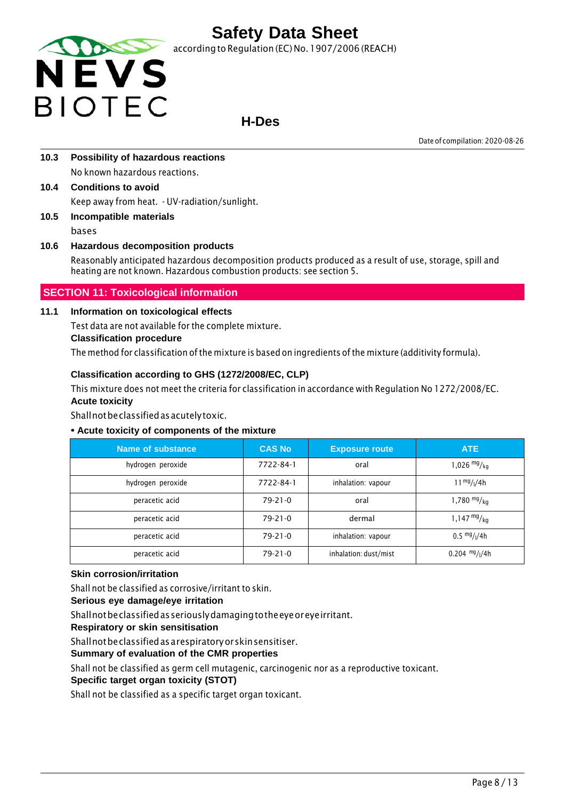

according to Regulation (EC) No. 1907/2006 (REACH)

### **H-Des**

Date of compilation: 2020-08-26

- **10.3 Possibility of hazardous reactions** No known hazardous reactions.
- **10.4 Conditions to avoid** Keep away from heat. - UV-radiation/sunlight.
- **10.5 Incompatible materials** bases

### **10.6 Hazardous decomposition products**

Reasonably anticipated hazardous decomposition products produced as a result of use, storage, spill and heating are not known. Hazardous combustion products: see section 5.

### **SECTION 11: Toxicological information**

### **11.1 Information on toxicological effects**

Test data are not available for the complete mixture.

### **Classification procedure**

The method for classification ofthe mixture is based on ingredients of the mixture (additivity formula).

### **Classification according to GHS (1272/2008/EC, CLP)**

This mixture does not meet the criteria for classification in accordance with Regulation No 1272/2008/EC. **Acute toxicity**

Shallnotbeclassifiedasacutelytoxic.

### **• Acute toxicity of components of the mixture**

| Name of substance | <b>CAS No</b> | <b>Exposure route</b> | <b>ATE</b>                            |
|-------------------|---------------|-----------------------|---------------------------------------|
| hydrogen peroxide | 7722-84-1     | oral                  | 1,026 $mg/kq$                         |
| hydrogen peroxide | 7722-84-1     | inhalation: vapour    | $11^{mg}/(4h)$                        |
| peracetic acid    | $79-21-0$     | oral                  | 1,780 $mg/kq$                         |
| peracetic acid    | $79-21-0$     | dermal                | $1,147 \frac{mg}{kg}$                 |
| peracetic acid    | $79 - 21 - 0$ | inhalation: vapour    | $0.5 \frac{mg}{l}$ / <sub>1</sub> /4h |
| peracetic acid    | $79-21-0$     | inhalation: dust/mist | $0.204$ mg/ $1/4h$                    |

### **Skin corrosion/irritation**

Shall not be classified as corrosive/irritant to skin.

### **Serious eye damage/eye irritation**

Shallnotbeclassifiedasseriouslydamagingtotheeyeoreyeirritant.

**Respiratory or skin sensitisation**

Shallnotbeclassifiedasarespiratoryorskinsensitiser.

### **Summary of evaluation of the CMR properties**

Shall not be classified as germ cell mutagenic, carcinogenic nor as a reproductive toxicant.

### **Specific target organ toxicity (STOT)**

Shall not be classified as a specific target organ toxicant.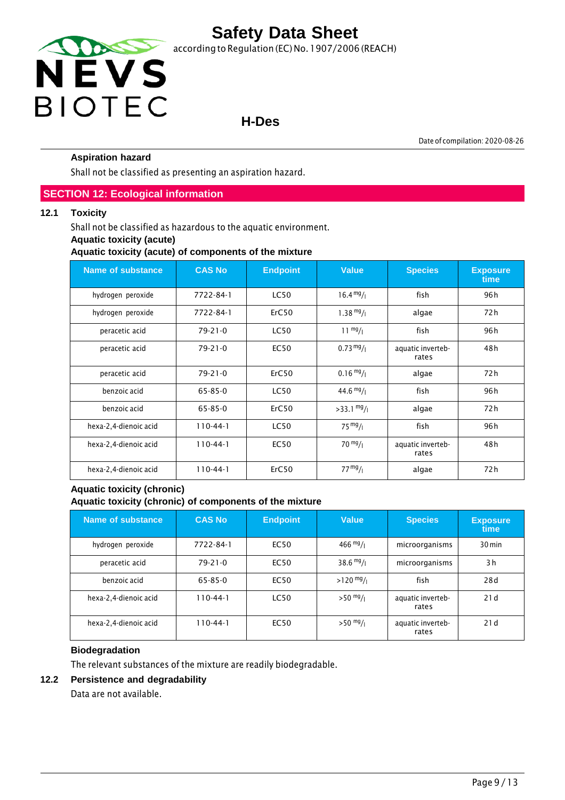

### **H-Des**

Date of compilation: 2020-08-26

### **Aspiration hazard**

Shall not be classified as presenting an aspiration hazard.

### **SECTION 12: Ecological information**

### **12.1 Toxicity**

Shall not be classified as hazardous to the aquatic environment.

#### **Aquatic toxicity (acute)**

**Aquatic toxicity (acute) of components of the mixture**

| <b>Name of substance</b> | <b>CAS No</b> | <b>Endpoint</b> | <b>Value</b>         | <b>Species</b>             | <b>Exposure</b><br>time |
|--------------------------|---------------|-----------------|----------------------|----------------------------|-------------------------|
| hydrogen peroxide        | 7722-84-1     | <b>LC50</b>     | $16.4 \frac{mg}{l}$  | fish                       | 96 h                    |
| hydrogen peroxide        | 7722-84-1     | ErC50           | $1.38 \frac{mg}{l}$  | algae                      | 72 h                    |
| peracetic acid           | $79 - 21 - 0$ | <b>LC50</b>     | $11 \frac{mg}{l}$    | fish                       | 96 h                    |
| peracetic acid           | $79 - 21 - 0$ | <b>EC50</b>     | $0.73 \frac{mg}{l}$  | aquatic inverteb-<br>rates | 48h                     |
| peracetic acid           | $79 - 21 - 0$ | ErC50           | $0.16 \frac{mg}{l}$  | algae                      | 72h                     |
| benzoic acid             | $65 - 85 - 0$ | <b>LC50</b>     | 44.6 $mg/1$          | fish                       | 96 h                    |
| benzoic acid             | $65 - 85 - 0$ | ErC50           | $>33.1 \frac{mg}{l}$ | algae                      | 72h                     |
| hexa-2,4-dienoic acid    | $110-44-1$    | <b>LC50</b>     | $75 \frac{mg}{l}$    | fish                       | 96h                     |
| hexa-2,4-dienoic acid    | $110-44-1$    | <b>EC50</b>     | $70 \frac{mg}{l}$    | aquatic inverteb-<br>rates | 48h                     |
| hexa-2,4-dienoic acid    | $110-44-1$    | ErC50           | 77 <sup>mg</sup> /1  | algae                      | 72h                     |

### **Aquatic toxicity (chronic) Aquatic toxicity (chronic) of components of the mixture**

| Name of substance     | <b>CAS No</b>  | <b>Endpoint</b> | <b>Value</b>        | <b>Species</b>             | <b>Exposure</b><br>time |
|-----------------------|----------------|-----------------|---------------------|----------------------------|-------------------------|
| hydrogen peroxide     | 7722-84-1      | EC50            | $466 \frac{mg}{l}$  | microorganisms             | 30 min                  |
| peracetic acid        | $79 - 21 - 0$  | EC50            | $38.6 \frac{mg}{l}$ | microorganisms             | 3h                      |
| benzoic acid          | $65 - 85 - 0$  | <b>EC50</b>     | $>120$ mg/          | fish                       | 28d                     |
| hexa-2,4-dienoic acid | $110 - 44 - 1$ | <b>LC50</b>     | $>50 \frac{mg}{l}$  | aquatic inverteb-<br>rates | 21d                     |
| hexa-2,4-dienoic acid | $110 - 44 - 1$ | <b>EC50</b>     | $>50 \frac{mg}{l}$  | aquatic inverteb-<br>rates | 21d                     |

### **Biodegradation**

The relevant substances of the mixture are readily biodegradable.

### **12.2 Persistence and degradability**

Data are not available.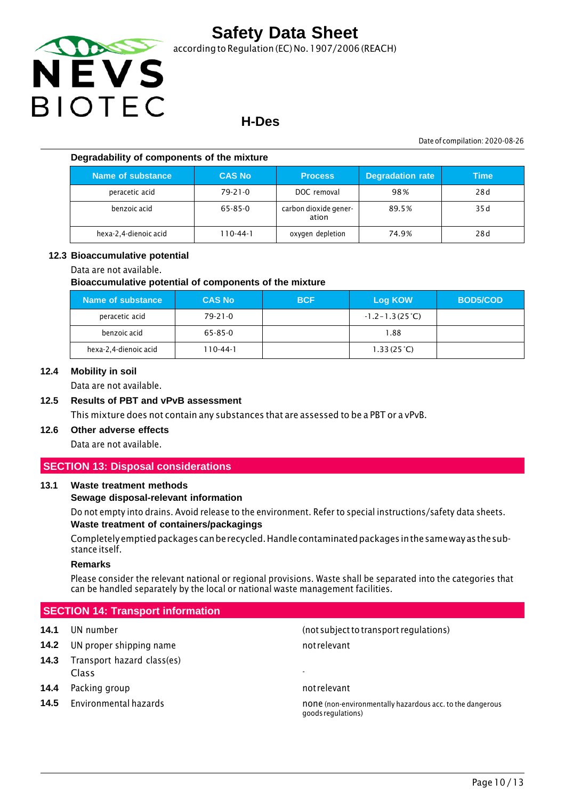

according to Regulation (EC) No.1907/2006 (REACH)

### **H-Des**

Date of compilation: 2020-08-26

#### **Degradability of components of the mixture**

| Name of substance     | <b>CAS No</b> | <b>Process</b>                 | <b>Degradation rate</b> | <b>Time</b> |
|-----------------------|---------------|--------------------------------|-------------------------|-------------|
| peracetic acid        | $79 - 21 - 0$ | DOC removal                    | 98%                     | 28d         |
| benzoic acid          | $65 - 85 - 0$ | carbon dioxide gener-<br>ation | 89.5%                   | 35d         |
| hexa-2,4-dienoic acid | 110-44-1      | oxygen depletion               | 74.9%                   | 28d         |

### **12.3 Bioaccumulative potential**

#### Data are not available.

### **Bioaccumulative potential of components of the mixture**

| Name of substance     | <b>CAS No</b> | <b>BCF</b> | <b>Log KOW</b>            | <b>BOD5/COD</b> |
|-----------------------|---------------|------------|---------------------------|-----------------|
| peracetic acid        | $79 - 21 - 0$ |            | $-1.2 - 1.3(25^{\circ}C)$ |                 |
| benzoic acid          | 65-85-0       |            | 1.88                      |                 |
| hexa-2,4-dienoic acid | 110-44-1      |            | 1.33(25 <sup>o</sup> C)   |                 |

### **12.4 Mobility in soil**

Data are not available.

### **12.5 Results of PBT and vPvB assessment**

This mixture does not contain any substances that are assessed to be a PBT or a vPvB.

### **12.6 Other adverse effects**

Data are not available.

### **SECTION 13: Disposal considerations**

### **13.1 Waste treatment methods**

#### **Sewage disposal-relevant information**

Do not empty into drains. Avoid release to the environment. Refer to special instructions/safety data sheets. **Waste treatment of containers/packagings**

Completelyemptiedpackages canberecycled.Handlecontaminatedpackages inthesameway asthesubstance itself.

### **Remarks**

Please consider the relevant national or regional provisions. Waste shall be separated into the categories that can be handled separately by the local or national waste management facilities.

### **SECTION 14: Transport information**

- **14.2** UN proper shipping name not relevant
- **14.3** Transport hazard class(es) Class -
- **14.4** Packing group **not relevant** not relevant
- 

**14.1** UN number (not subjectto transport regulations)

**14.5** Environmental hazards none is none (non-environmentally hazardous acc. to the dangerous acc. to the dangerous goodsregulations)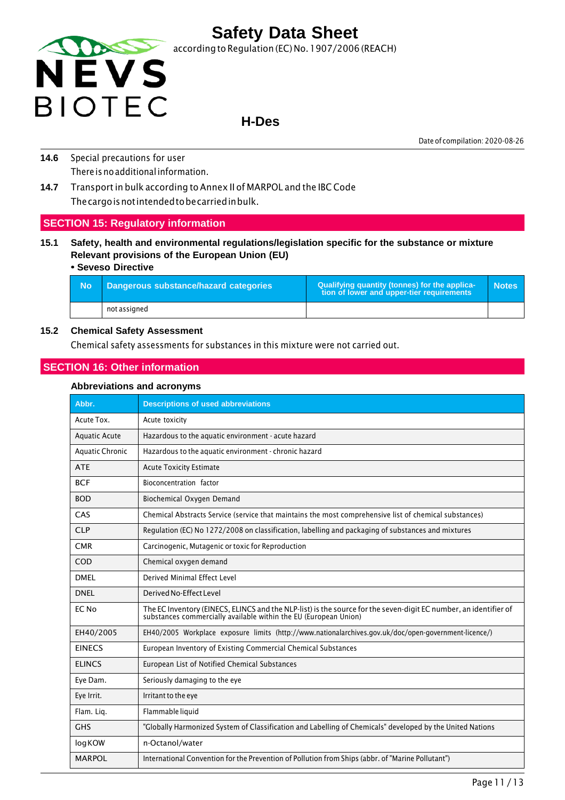

### **H-Des**

Date of compilation: 2020-08-26

- **14.6** Special precautions for user There is no additional information.
- **14.7** Transport in bulk according to Annex II of MARPOL and the IBC Code Thecargoisnotintendedtobecarriedinbulk.

### **SECTION 15: Regulatory information**

**15.1 Safety, health and environmental regulations/legislation specific for the substance or mixture Relevant provisions of the European Union (EU)**

### **• Seveso Directive**

| - No | Dangerous substance/hazard categories | Qualifying quantity (tonnes) for the applica-<br>tion of lower and upper-tier requirements | <b>Notes</b> |
|------|---------------------------------------|--------------------------------------------------------------------------------------------|--------------|
|      | not assigned                          |                                                                                            |              |

### **15.2 Chemical Safety Assessment**

Chemical safety assessments for substances in this mixture were not carried out.

### **SECTION 16: Other information**

### **Abbreviations and acronyms**

| Abbr.                  | <b>Descriptions of used abbreviations</b>                                                                                                                                         |
|------------------------|-----------------------------------------------------------------------------------------------------------------------------------------------------------------------------------|
| Acute Tox.             | Acute toxicity                                                                                                                                                                    |
| <b>Aquatic Acute</b>   | Hazardous to the aquatic environment - acute hazard                                                                                                                               |
| <b>Aquatic Chronic</b> | Hazardous to the aquatic environment - chronic hazard                                                                                                                             |
| <b>ATE</b>             | <b>Acute Toxicity Estimate</b>                                                                                                                                                    |
| <b>BCF</b>             | Bioconcentration factor                                                                                                                                                           |
| <b>BOD</b>             | Biochemical Oxygen Demand                                                                                                                                                         |
| CAS                    | Chemical Abstracts Service (service that maintains the most comprehensive list of chemical substances)                                                                            |
| <b>CLP</b>             | Regulation (EC) No 1272/2008 on classification, labelling and packaging of substances and mixtures                                                                                |
| <b>CMR</b>             | Carcinogenic, Mutagenic or toxic for Reproduction                                                                                                                                 |
| COD                    | Chemical oxygen demand                                                                                                                                                            |
| <b>DMFI</b>            | Derived Minimal Effect Level                                                                                                                                                      |
| <b>DNEL</b>            | Derived No-Effect Level                                                                                                                                                           |
| EC No                  | The EC Inventory (EINECS, ELINCS and the NLP-list) is the source for the seven-digit EC number, an identifier of substances commercially available within the EU (European Union) |
| EH40/2005              | EH40/2005 Workplace exposure limits (http://www.nationalarchives.gov.uk/doc/open-government-licence/)                                                                             |
| <b>EINECS</b>          | European Inventory of Existing Commercial Chemical Substances                                                                                                                     |
| <b>ELINCS</b>          | European List of Notified Chemical Substances                                                                                                                                     |
| Eye Dam.               | Seriously damaging to the eye                                                                                                                                                     |
| Eye Irrit.             | Irritant to the eye                                                                                                                                                               |
| Flam. Liq.             | Flammable liquid                                                                                                                                                                  |
| <b>GHS</b>             | "Globally Harmonized System of Classification and Labelling of Chemicals" developed by the United Nations                                                                         |
| logKOW                 | n-Octanol/water                                                                                                                                                                   |
| <b>MARPOL</b>          | International Convention for the Prevention of Pollution from Ships (abbr. of "Marine Pollutant")                                                                                 |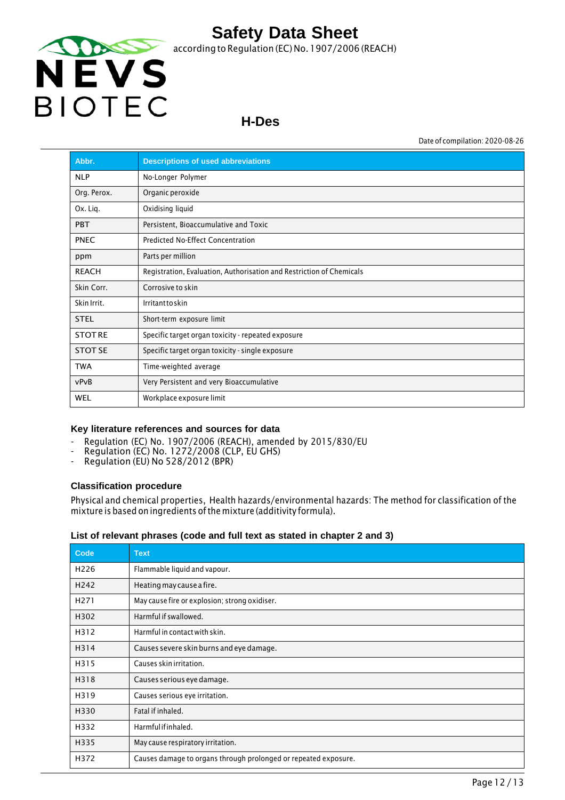

## **H-Des**

Date of compilation: 2020-08-26

| Abbr.          | <b>Descriptions of used abbreviations</b>                            |
|----------------|----------------------------------------------------------------------|
| <b>NLP</b>     | No-Longer Polymer                                                    |
| Org. Perox.    | Organic peroxide                                                     |
| Ox. Lig.       | Oxidising liquid                                                     |
| <b>PBT</b>     | Persistent, Bioaccumulative and Toxic                                |
| <b>PNEC</b>    | Predicted No-Effect Concentration                                    |
| ppm            | Parts per million                                                    |
| <b>REACH</b>   | Registration, Evaluation, Authorisation and Restriction of Chemicals |
| Skin Corr.     | Corrosive to skin                                                    |
| Skin Irrit.    | Irritanttoskin                                                       |
| <b>STEL</b>    | Short-term exposure limit                                            |
| <b>STOTRE</b>  | Specific target organ toxicity - repeated exposure                   |
| <b>STOT SE</b> | Specific target organ toxicity - single exposure                     |
| <b>TWA</b>     | Time-weighted average                                                |
| vPvB           | Very Persistent and very Bioaccumulative                             |
| <b>WEL</b>     | Workplace exposure limit                                             |

### **Key literature references and sources for data**

- Regulation (EC) No. 1907/2006 (REACH), amended by 2015/830/EU
- Regulation (EC) No. 1272/2008 (CLP, EU GHS)
- Regulation (EU) No 528/2012 (BPR)

### **Classification procedure**

Physical and chemical properties, Health hazards/environmental hazards: The method for classification of the mixture is based on ingredients ofthe mixture (additivity formula).

### **List of relevant phrases (code and full text as stated in chapter 2 and 3)**

| Code             | <b>Text</b>                                                     |
|------------------|-----------------------------------------------------------------|
| H <sub>226</sub> | Flammable liquid and vapour.                                    |
| H <sub>242</sub> | Heating may cause a fire.                                       |
| H <sub>271</sub> | May cause fire or explosion; strong oxidiser.                   |
| H302             | Harmful if swallowed.                                           |
| H312             | Harmful in contact with skin.                                   |
| H314             | Causes severe skin burns and eye damage.                        |
| H315             | Causes skin irritation.                                         |
| H318             | Causes serious eye damage.                                      |
| H319             | Causes serious eye irritation.                                  |
| H330             | Fatal if inhaled.                                               |
| H332             | Harmfulifinhaled.                                               |
| H335             | May cause respiratory irritation.                               |
| H372             | Causes damage to organs through prolonged or repeated exposure. |